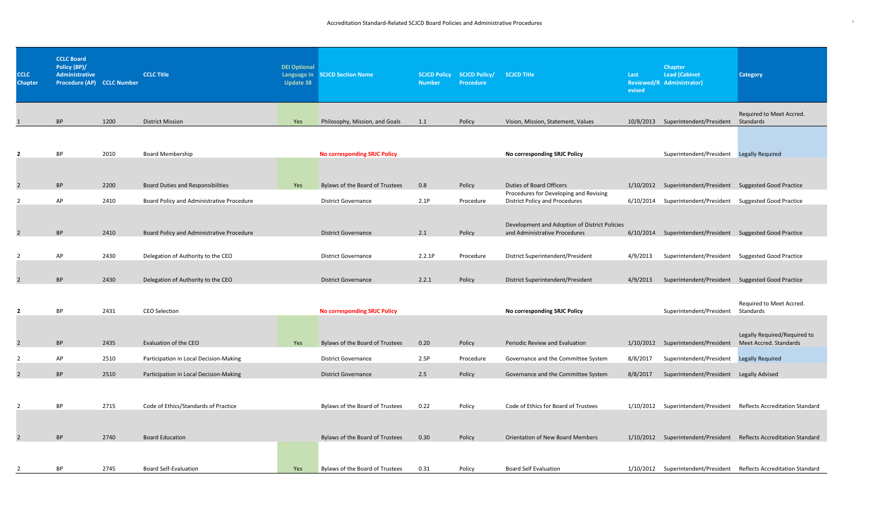## Accreditation Standard-Related SCJCD Board Policies and Administrative Procedures juncosed and and the state of the state of the state of the state of the state of the state of the state of the state of the state of the st

| <b>CCLC</b><br><b>Chapter</b> | <b>CCLC Board</b><br>Policy (BP)/<br>Administrative<br>Procedure (AP) CCLC Number |      | <b>CCLC Title</b>       | DEI Optional<br>Update 38 | Language in SCJCD Section Name | <b>Number</b> | SCJCD Policy SCJCD Policy/ SCJCD Title<br>Procedure |                                    | Last<br>evised | <b>Chapter</b><br><b>Lead (Cabinet</b><br>Reviewed/R Administrator) | <b>Category</b>          |
|-------------------------------|-----------------------------------------------------------------------------------|------|-------------------------|---------------------------|--------------------------------|---------------|-----------------------------------------------------|------------------------------------|----------------|---------------------------------------------------------------------|--------------------------|
|                               | <b>RP</b>                                                                         | 1200 | <b>District Mission</b> | Yes                       | Philosophy, Mission, and Goals | 1.1           | Policy                                              | Vision, Mission, Statement, Values |                | 10/8/2013 Superintendent/President Standards                        | Required to Meet Accred. |

| <b>BP</b> | 2010 | <b>Board Membership</b>                   |     | <b>No corresponding SRJC Policy</b> |        |           | No corresponding SRJC Policy                                                   |           | Superintendent/President           | <b>Legally Required</b>        |
|-----------|------|-------------------------------------------|-----|-------------------------------------|--------|-----------|--------------------------------------------------------------------------------|-----------|------------------------------------|--------------------------------|
| <b>BP</b> | 2200 | <b>Board Duties and Responsibilities</b>  | Yes | Bylaws of the Board of Trustees     | 0.8    | Policy    | Duties of Board Officers                                                       |           | 1/10/2012 Superintendent/President | <b>Suggested Good Practice</b> |
|           |      |                                           |     |                                     |        |           | Procedures for Developing and Revising                                         |           |                                    |                                |
| AP        | 2410 | Board Policy and Administrative Procedure |     | <b>District Governance</b>          | 2.1P   | Procedure | <b>District Policy and Procedures</b>                                          | 6/10/2014 | Superintendent/President           | <b>Suggested Good Practice</b> |
| <b>BP</b> | 2410 | Board Policy and Administrative Procedure |     | <b>District Governance</b>          | 2.1    | Policy    | Development and Adoption of District Policies<br>and Administrative Procedures | 6/10/2014 | Superintendent/President           | Suggested Good Practice        |
| AP        | 2430 | Delegation of Authority to the CEO        |     | <b>District Governance</b>          | 2.2.1P | Procedure | District Superintendent/President                                              | 4/9/2013  | Superintendent/President           | <b>Suggested Good Practice</b> |
| <b>BP</b> | 2430 | Delegation of Authority to the CEO        |     | <b>District Governance</b>          | 2.2.1  | Policy    | District Superintendent/President                                              | 4/9/2013  | Superintendent/President           | <b>Suggested Good Practice</b> |

| $\overline{2}$ | <b>BP</b> | 2431 | <b>CEO Selection</b>                   |     | <b>No corresponding SRJC Policy</b> |      |           | No corresponding SRJC Policy            |           | Superintendent/President           | Required to Meet Accred.<br>Standards  |
|----------------|-----------|------|----------------------------------------|-----|-------------------------------------|------|-----------|-----------------------------------------|-----------|------------------------------------|----------------------------------------|
|                |           |      |                                        |     |                                     |      |           |                                         |           |                                    | Legally Required/Required to           |
| 2              | <b>BP</b> | 2435 | Evaluation of the CEO                  | Yes | Bylaws of the Board of Trustees     | 0.20 | Policy    | Periodic Review and Evaluation          |           | 1/10/2012 Superintendent/President | Meet Accred. Standards                 |
|                | AP        | 2510 | Participation in Local Decision-Making |     | <b>District Governance</b>          | 2.5P | Procedure | Governance and the Committee System     | 8/8/2017  | Superintendent/President           | <b>Legally Required</b>                |
| 2              | <b>BP</b> | 2510 | Participation in Local Decision-Making |     | <b>District Governance</b>          | 2.5  | Policy    | Governance and the Committee System     | 8/8/2017  | Superintendent/President           | Legally Advised                        |
|                | <b>BP</b> | 2715 | Code of Ethics/Standards of Practice   |     | Bylaws of the Board of Trustees     | 0.22 | Policy    | Code of Ethics for Board of Trustees    | 1/10/2012 | Superintendent/President           | Reflects Accreditation Standard        |
|                | <b>BP</b> | 2740 | <b>Board Education</b>                 |     | Bylaws of the Board of Trustees     | 0.30 | Policy    | <b>Orientation of New Board Members</b> |           | 1/10/2012 Superintendent/President | <b>Reflects Accreditation Standard</b> |
|                | BP        | 2745 | <b>Board Self-Evaluation</b>           | Yes | Bylaws of the Board of Trustees     | 0.31 | Policy    | <b>Board Self Evaluation</b>            | 1/10/2012 | Superintendent/President           | Reflects Accreditation Standard        |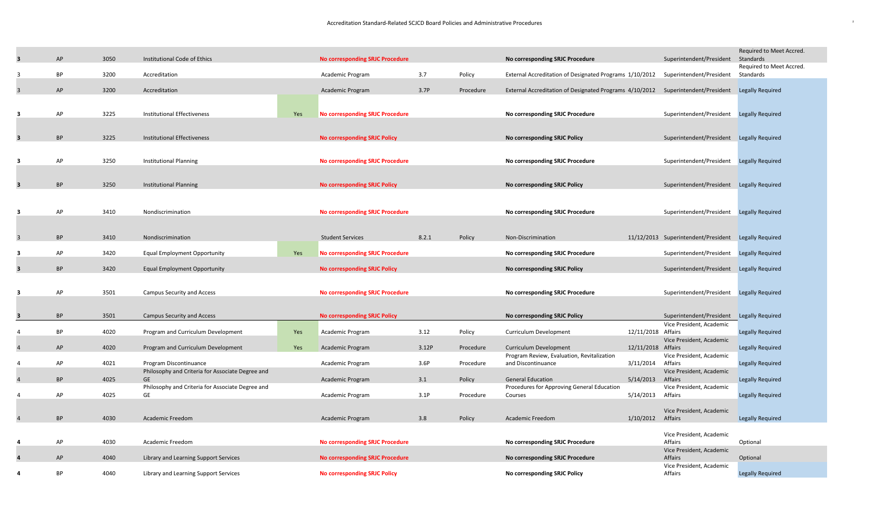| 3                       | AP        | 3050 | Institutional Code of Ethics                                               |     | No corresponding SRJC Procedure        |       |           | No corresponding SRJC Procedure                                                                   |                    | Superintendent/President                                        | Required to Meet Accred.<br>Standards |
|-------------------------|-----------|------|----------------------------------------------------------------------------|-----|----------------------------------------|-------|-----------|---------------------------------------------------------------------------------------------------|--------------------|-----------------------------------------------------------------|---------------------------------------|
| -3                      | <b>BP</b> | 3200 | Accreditation                                                              |     | Academic Program                       | 3.7   | Policy    | External Accreditation of Designated Programs 1/10/2012                                           |                    | Superintendent/President                                        | Required to Meet Accred.<br>Standards |
| $\overline{3}$          | AP        | 3200 | Accreditation                                                              |     | <b>Academic Program</b>                | 3.7P  | Procedure | External Accreditation of Designated Programs 4/10/2012 Superintendent/President Legally Required |                    |                                                                 |                                       |
| 3                       | AP        | 3225 | <b>Institutional Effectiveness</b>                                         | Yes | <b>No corresponding SRJC Procedure</b> |       |           | No corresponding SRJC Procedure                                                                   |                    | Superintendent/President Legally Required                       |                                       |
| $\overline{\mathbf{3}}$ | <b>BP</b> | 3225 | Institutional Effectiveness                                                |     | <b>No corresponding SRJC Policy</b>    |       |           | No corresponding SRJC Policy                                                                      |                    | Superintendent/President Legally Required                       |                                       |
| 3                       | AP        | 3250 | <b>Institutional Planning</b>                                              |     | <b>No corresponding SRJC Procedure</b> |       |           | No corresponding SRJC Procedure                                                                   |                    | Superintendent/President Legally Required                       |                                       |
| 3                       | <b>BP</b> | 3250 | <b>Institutional Planning</b>                                              |     | <b>No corresponding SRJC Policy</b>    |       |           | No corresponding SRJC Policy                                                                      |                    | Superintendent/President Legally Required                       |                                       |
| 3                       | AP        | 3410 | Nondiscrimination                                                          |     | <b>No corresponding SRJC Procedure</b> |       |           | No corresponding SRJC Procedure                                                                   |                    | Superintendent/President Legally Required                       |                                       |
|                         |           |      |                                                                            |     |                                        |       |           |                                                                                                   |                    |                                                                 |                                       |
| $\overline{3}$          | <b>BP</b> | 3410 | Nondiscrimination                                                          |     | <b>Student Services</b>                | 8.2.1 | Policy    | Non-Discrimination                                                                                |                    | 11/12/2013 Superintendent/President Legally Required            |                                       |
| -3                      | AP        | 3420 | <b>Equal Employment Opportunity</b>                                        | Yes | <b>No corresponding SRJC Procedure</b> |       |           | No corresponding SRJC Procedure                                                                   |                    | Superintendent/President Legally Required                       |                                       |
| $\overline{\mathbf{3}}$ | <b>BP</b> | 3420 | <b>Equal Employment Opportunity</b>                                        |     | <b>No corresponding SRJC Policy</b>    |       |           | No corresponding SRJC Policy                                                                      |                    | Superintendent/President Legally Required                       |                                       |
| 3                       | AP        | 3501 | Campus Security and Access                                                 |     | <b>No corresponding SRJC Procedure</b> |       |           | No corresponding SRJC Procedure                                                                   |                    | Superintendent/President Legally Required                       |                                       |
| 3                       | <b>BP</b> | 3501 | <b>Campus Security and Access</b>                                          |     | <b>No corresponding SRJC Policy</b>    |       |           | No corresponding SRJC Policy                                                                      |                    | Superintendent/President Legally Required                       |                                       |
| $\overline{a}$          | BP        | 4020 | Program and Curriculum Development                                         | Yes | Academic Program                       | 3.12  | Policy    | <b>Curriculum Development</b>                                                                     | 12/11/2018 Affairs | Vice President, Academic<br>Vice President, Academic            | Legally Required                      |
|                         | AP        | 4020 | Program and Curriculum Development                                         | Yes | Academic Program                       | 3.12P | Procedure | Curriculum Development<br>Program Review, Evaluation, Revitalization                              | 12/11/2018 Affairs | Vice President, Academic                                        | Legally Required                      |
| $\overline{4}$          | AP        | 4021 | Program Discontinuance<br>Philosophy and Criteria for Associate Degree and |     | Academic Program                       | 3.6P  | Procedure | and Discontinuance                                                                                | 3/11/2014          | Affairs<br>Vice President, Academic                             | Legally Required                      |
|                         | <b>BP</b> | 4025 | GE<br>Philosophy and Criteria for Associate Degree and                     |     | <b>Academic Program</b>                | 3.1   | Policy    | <b>General Education</b><br>Procedures for Approving General Education                            | 5/14/2013          | Affairs<br>Vice President, Academic                             | <b>Legally Required</b>               |
| $\overline{a}$          | AP        | 4025 | GE                                                                         |     | Academic Program                       | 3.1P  | Procedure | Courses                                                                                           | 5/14/2013          | Affairs                                                         | <b>Legally Required</b>               |
| $\overline{4}$          | <b>BP</b> | 4030 | Academic Freedom                                                           |     | Academic Program                       | 3.8   | Policy    | Academic Freedom                                                                                  | 1/10/2012 Affairs  | Vice President, Academic                                        | <b>Legally Required</b>               |
| 4                       | AP        | 4030 | Academic Freedom                                                           |     | <b>No corresponding SRJC Procedure</b> |       |           | No corresponding SRJC Procedure                                                                   |                    | Vice President, Academic<br>Affairs                             | Optional                              |
| $\overline{a}$          | AP        | 4040 | Library and Learning Support Services                                      |     | <b>No corresponding SRJC Procedure</b> |       |           | No corresponding SRJC Procedure                                                                   |                    | Vice President, Academic<br>Affairs<br>Vice President, Academic | Optional                              |
|                         |           |      |                                                                            |     |                                        |       |           |                                                                                                   |                    |                                                                 |                                       |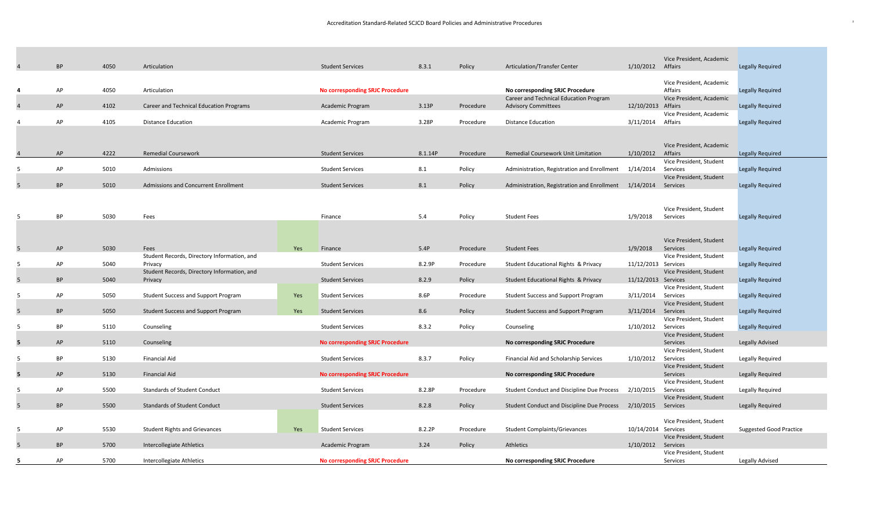|    | <b>BP</b> | 4050 | Articulation                                |     | <b>Student Services</b>                | 8.3.1   | Policy    | <b>Articulation/Transfer Center</b>               | 1/10/2012 Affairs   | Vice President, Academic            | <b>Legally Required</b>        |
|----|-----------|------|---------------------------------------------|-----|----------------------------------------|---------|-----------|---------------------------------------------------|---------------------|-------------------------------------|--------------------------------|
|    |           |      |                                             |     |                                        |         |           |                                                   |                     |                                     |                                |
|    |           |      |                                             |     |                                        |         |           |                                                   |                     | Vice President, Academic            |                                |
|    | AP        | 4050 | Articulation                                |     | <b>No corresponding SRJC Procedure</b> |         |           | No corresponding SRJC Procedure                   |                     | Affairs                             | <b>Legally Required</b>        |
|    |           |      |                                             |     |                                        |         |           | Career and Technical Education Program            |                     | Vice President, Academic            |                                |
|    | AP        | 4102 | Career and Technical Education Programs     |     | Academic Program                       | 3.13P   | Procedure | <b>Advisory Committees</b>                        | 12/10/2013 Affairs  | Vice President, Academic            | <b>Legally Required</b>        |
|    | AP        | 4105 | <b>Distance Education</b>                   |     | Academic Program                       | 3.28P   | Procedure | <b>Distance Education</b>                         | 3/11/2014           | Affairs                             | <b>Legally Required</b>        |
|    |           |      |                                             |     |                                        |         |           |                                                   |                     |                                     |                                |
|    |           |      |                                             |     |                                        |         |           |                                                   |                     |                                     |                                |
|    |           |      |                                             |     |                                        |         |           |                                                   |                     | Vice President, Academic            |                                |
|    | AP        | 4222 | <b>Remedial Coursework</b>                  |     | <b>Student Services</b>                | 8.1.14P | Procedure | Remedial Coursework Unit Limitation               | 1/10/2012           | Affairs                             | <b>Legally Required</b>        |
|    | AP        | 5010 | Admissions                                  |     | <b>Student Services</b>                | 8.1     |           | Administration, Registration and Enrollment       | 1/14/2014           | Vice President, Student<br>Services |                                |
|    |           |      |                                             |     |                                        |         | Policy    |                                                   |                     | Vice President, Student             | <b>Legally Required</b>        |
| 5  | BP        | 5010 | Admissions and Concurrent Enrollment        |     | <b>Student Services</b>                | 8.1     | Policy    | Administration, Registration and Enrollment       | 1/14/2014 Services  |                                     | <b>Legally Required</b>        |
|    |           |      |                                             |     |                                        |         |           |                                                   |                     |                                     |                                |
|    |           |      |                                             |     |                                        |         |           |                                                   |                     |                                     |                                |
|    |           |      |                                             |     |                                        |         |           |                                                   |                     | Vice President, Student             |                                |
| -5 | <b>BP</b> | 5030 | Fees                                        |     | Finance                                | 5.4     | Policy    | <b>Student Fees</b>                               | 1/9/2018            | Services                            | <b>Legally Required</b>        |
|    |           |      |                                             |     |                                        |         |           |                                                   |                     |                                     |                                |
|    |           |      |                                             |     |                                        |         |           |                                                   |                     | Vice President, Student             |                                |
| 5  | AP        | 5030 | Fees                                        | Yes | Finance                                | 5.4P    | Procedure | <b>Student Fees</b>                               | 1/9/2018            | Services                            | <b>Legally Required</b>        |
|    |           |      | Student Records, Directory Information, and |     |                                        |         |           |                                                   |                     | Vice President, Student             |                                |
| -5 | AP        | 5040 | Privacy                                     |     | <b>Student Services</b>                | 8.2.9P  | Procedure | Student Educational Rights & Privacy              | 11/12/2013 Services |                                     | <b>Legally Required</b>        |
|    |           |      | Student Records, Directory Information, and |     |                                        |         |           |                                                   |                     | Vice President, Student             |                                |
| 5  | <b>BP</b> | 5040 | Privacy                                     |     | <b>Student Services</b>                | 8.2.9   | Policy    | Student Educational Rights & Privacy              | 11/12/2013 Services |                                     | <b>Legally Required</b>        |
|    | AP        |      |                                             |     |                                        | 8.6P    |           |                                                   |                     | Vice President, Student             |                                |
| -5 |           | 5050 | <b>Student Success and Support Program</b>  | Yes | <b>Student Services</b>                |         | Procedure | <b>Student Success and Support Program</b>        | 3/11/2014           | Services<br>Vice President, Student | <b>Legally Required</b>        |
| 5  | <b>BP</b> | 5050 | <b>Student Success and Support Program</b>  | Yes | <b>Student Services</b>                | 8.6     | Policy    | <b>Student Success and Support Program</b>        | 3/11/2014 Services  |                                     | <b>Legally Required</b>        |
|    |           |      |                                             |     |                                        |         |           |                                                   |                     | Vice President, Student             |                                |
| -5 | <b>BP</b> | 5110 | Counseling                                  |     | <b>Student Services</b>                | 8.3.2   | Policy    | Counseling                                        | 1/10/2012           | Services                            | <b>Legally Required</b>        |
|    |           |      |                                             |     |                                        |         |           |                                                   |                     | Vice President, Student             |                                |
| 5  | AP        | 5110 | Counseling                                  |     | <b>No corresponding SRJC Procedure</b> |         |           | No corresponding SRJC Procedure                   |                     | Services                            | Legally Advised                |
| -5 | <b>BP</b> | 5130 | <b>Financial Aid</b>                        |     | <b>Student Services</b>                | 8.3.7   | Policy    | Financial Aid and Scholarship Services            | 1/10/2012           | Vice President, Student<br>Services | Legally Required               |
|    |           |      |                                             |     |                                        |         |           |                                                   |                     | Vice President, Student             |                                |
| 5  | AP        | 5130 | <b>Financial Aid</b>                        |     | <b>No corresponding SRJC Procedure</b> |         |           | No corresponding SRJC Procedure                   |                     | Services                            | <b>Legally Required</b>        |
|    |           |      |                                             |     |                                        |         |           |                                                   |                     | Vice President, Student             |                                |
| -5 | AP        | 5500 | <b>Standards of Student Conduct</b>         |     | <b>Student Services</b>                | 8.2.8P  | Procedure | Student Conduct and Discipline Due Process        | 2/10/2015           | Services                            | <b>Legally Required</b>        |
|    |           |      |                                             |     |                                        |         |           |                                                   |                     | Vice President, Student             |                                |
| 5  | <b>BP</b> | 5500 | <b>Standards of Student Conduct</b>         |     | <b>Student Services</b>                | 8.2.8   | Policy    | <b>Student Conduct and Discipline Due Process</b> | 2/10/2015           | Services                            | <b>Legally Required</b>        |
|    |           |      |                                             |     |                                        |         |           |                                                   |                     | Vice President, Student             |                                |
| -5 | AP        | 5530 | <b>Student Rights and Grievances</b>        | Yes | <b>Student Services</b>                | 8.2.2P  | Procedure | <b>Student Complaints/Grievances</b>              | 10/14/2014 Services |                                     | <b>Suggested Good Practice</b> |
|    |           |      |                                             |     |                                        |         |           |                                                   |                     | Vice President, Student             |                                |
| -5 | <b>BP</b> | 5700 | Intercollegiate Athletics                   |     | Academic Program                       | 3.24    | Policy    | Athletics                                         | 1/10/2012 Services  |                                     |                                |
|    |           |      |                                             |     |                                        |         |           |                                                   |                     | Vice President, Student             |                                |
| -5 | AP        | 5700 | <b>Intercollegiate Athletics</b>            |     | <b>No corresponding SRJC Procedure</b> |         |           | No corresponding SRJC Procedure                   |                     | Services                            | Legally Advised                |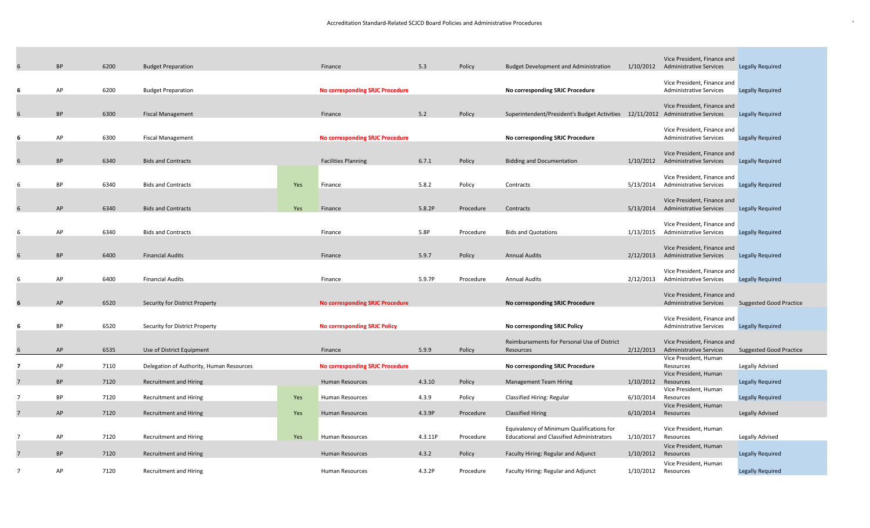| 6                       | <b>BP</b> | 6200 | <b>Budget Preparation</b>                |     | Finance                                | 5.3     | Policy    | <b>Budget Development and Administration</b>                                    |           | Vice President, Finance and<br>1/10/2012 Administrative Services | <b>Legally Required</b>        |
|-------------------------|-----------|------|------------------------------------------|-----|----------------------------------------|---------|-----------|---------------------------------------------------------------------------------|-----------|------------------------------------------------------------------|--------------------------------|
|                         |           |      |                                          |     |                                        |         |           |                                                                                 |           |                                                                  |                                |
|                         |           |      |                                          |     |                                        |         |           |                                                                                 |           | Vice President, Finance and                                      |                                |
| -6                      | AP        | 6200 | <b>Budget Preparation</b>                |     | <b>No corresponding SRJC Procedure</b> |         |           | No corresponding SRJC Procedure                                                 |           | <b>Administrative Services</b>                                   | <b>Legally Required</b>        |
|                         |           |      |                                          |     |                                        |         |           |                                                                                 |           | Vice President, Finance and                                      |                                |
| 6                       | <b>BP</b> | 6300 | <b>Fiscal Management</b>                 |     | Finance                                | 5.2     | Policy    | Superintendent/President's Budget Activities 12/11/2012 Administrative Services |           |                                                                  | <b>Legally Required</b>        |
|                         |           |      |                                          |     |                                        |         |           |                                                                                 |           | Vice President, Finance and                                      |                                |
| -6                      | AP        | 6300 | <b>Fiscal Management</b>                 |     | <b>No corresponding SRJC Procedure</b> |         |           | No corresponding SRJC Procedure                                                 |           | <b>Administrative Services</b>                                   | <b>Legally Required</b>        |
|                         |           |      |                                          |     |                                        |         |           |                                                                                 |           |                                                                  |                                |
| 6                       | <b>BP</b> | 6340 | <b>Bids and Contracts</b>                |     | <b>Facilities Planning</b>             | 6.7.1   | Policy    | <b>Bidding and Documentation</b>                                                |           | Vice President, Finance and<br>1/10/2012 Administrative Services | <b>Legally Required</b>        |
|                         |           |      |                                          |     |                                        |         |           |                                                                                 |           |                                                                  |                                |
|                         |           |      |                                          |     |                                        |         |           |                                                                                 |           | Vice President, Finance and                                      |                                |
| 6                       | BP        | 6340 | <b>Bids and Contracts</b>                | Yes | Finance                                | 5.8.2   | Policy    | Contracts                                                                       | 5/13/2014 | <b>Administrative Services</b>                                   | <b>Legally Required</b>        |
|                         |           |      |                                          |     |                                        |         |           |                                                                                 |           | Vice President, Finance and                                      |                                |
| 6                       | AP        | 6340 | <b>Bids and Contracts</b>                | Yes | Finance                                | 5.8.2P  | Procedure | Contracts                                                                       |           | 5/13/2014 Administrative Services                                | <b>Legally Required</b>        |
|                         |           |      |                                          |     |                                        |         |           |                                                                                 |           | Vice President, Finance and                                      |                                |
| 6                       | AP        | 6340 | <b>Bids and Contracts</b>                |     | Finance                                | 5.8P    | Procedure | <b>Bids and Quotations</b>                                                      | 1/13/2015 | <b>Administrative Services</b>                                   | <b>Legally Required</b>        |
|                         |           |      |                                          |     |                                        |         |           |                                                                                 |           |                                                                  |                                |
| 6                       | <b>BP</b> | 6400 | <b>Financial Audits</b>                  |     | Finance                                | 5.9.7   | Policy    | <b>Annual Audits</b>                                                            |           | Vice President, Finance and<br>2/12/2013 Administrative Services | <b>Legally Required</b>        |
|                         |           |      |                                          |     |                                        |         |           |                                                                                 |           |                                                                  |                                |
|                         |           |      |                                          |     |                                        |         |           |                                                                                 |           | Vice President, Finance and                                      |                                |
| 6                       | AP        | 6400 | <b>Financial Audits</b>                  |     | Finance                                | 5.9.7P  | Procedure | <b>Annual Audits</b>                                                            | 2/12/2013 | <b>Administrative Services</b>                                   | <b>Legally Required</b>        |
|                         |           |      |                                          |     |                                        |         |           |                                                                                 |           | Vice President, Finance and                                      |                                |
| 6                       | AP        | 6520 | Security for District Property           |     | <b>No corresponding SRJC Procedure</b> |         |           | No corresponding SRJC Procedure                                                 |           | <b>Administrative Services</b>                                   | <b>Suggested Good Practice</b> |
|                         |           |      |                                          |     |                                        |         |           |                                                                                 |           | Vice President, Finance and                                      |                                |
| -6                      | BP        | 6520 | Security for District Property           |     | <b>No corresponding SRJC Policy</b>    |         |           | No corresponding SRJC Policy                                                    |           | <b>Administrative Services</b>                                   | <b>Legally Required</b>        |
|                         |           |      |                                          |     |                                        |         |           | Reimbursements for Personal Use of District                                     |           | Vice President, Finance and                                      |                                |
| 6                       | AP        | 6535 | Use of District Equipment                |     | Finance                                | 5.9.9   | Policy    | Resources                                                                       | 2/12/2013 | <b>Administrative Services</b>                                   | <b>Suggested Good Practice</b> |
|                         |           |      |                                          |     |                                        |         |           |                                                                                 |           | Vice President, Human                                            |                                |
| $\overline{\mathbf{z}}$ | AP        | 7110 | Delegation of Authority, Human Resources |     | <b>No corresponding SRJC Procedure</b> |         |           | No corresponding SRJC Procedure                                                 |           | Resources                                                        | Legally Advised                |
| $\overline{7}$          | <b>BP</b> | 7120 | <b>Recruitment and Hiring</b>            |     | <b>Human Resources</b>                 | 4.3.10  | Policy    | <b>Management Team Hiring</b>                                                   | 1/10/2012 | Vice President, Human<br>Resources                               | <b>Legally Required</b>        |
|                         |           |      |                                          |     |                                        |         |           |                                                                                 |           | Vice President, Human                                            |                                |
| $\overline{7}$          | <b>BP</b> | 7120 | <b>Recruitment and Hiring</b>            | Yes | <b>Human Resources</b>                 | 4.3.9   | Policy    | Classified Hiring: Regular                                                      | 6/10/2014 | Resources                                                        | Legally Required               |
| $\overline{7}$          | AP        | 7120 | <b>Recruitment and Hiring</b>            | Yes | Human Resources                        | 4.3.9P  | Procedure | <b>Classified Hiring</b>                                                        | 6/10/2014 | Vice President, Human<br>Resources                               | <b>Legally Advised</b>         |
|                         |           |      |                                          |     |                                        |         |           |                                                                                 |           |                                                                  |                                |
| $\overline{7}$          | AP        |      |                                          |     |                                        |         |           | Equivalency of Minimum Qualifications for                                       |           | Vice President, Human                                            |                                |
|                         |           | 7120 | <b>Recruitment and Hiring</b>            | Yes | <b>Human Resources</b>                 | 4.3.11P | Procedure | <b>Educational and Classified Administrators</b>                                | 1/10/2017 | Resources<br>Vice President, Human                               | Legally Advised                |
| $\overline{7}$          | <b>BP</b> | 7120 | <b>Recruitment and Hiring</b>            |     | Human Resources                        | 4.3.2   | Policy    | Faculty Hiring: Regular and Adjunct                                             | 1/10/2012 | Resources                                                        | Legally Required               |
|                         |           |      |                                          |     |                                        |         |           |                                                                                 |           | Vice President, Human                                            |                                |
| $\overline{7}$          | AP        | 7120 | <b>Recruitment and Hiring</b>            |     | <b>Human Resources</b>                 | 4.3.2P  | Procedure | Faculty Hiring: Regular and Adjunct                                             | 1/10/2012 | Resources                                                        | <b>Legally Required</b>        |